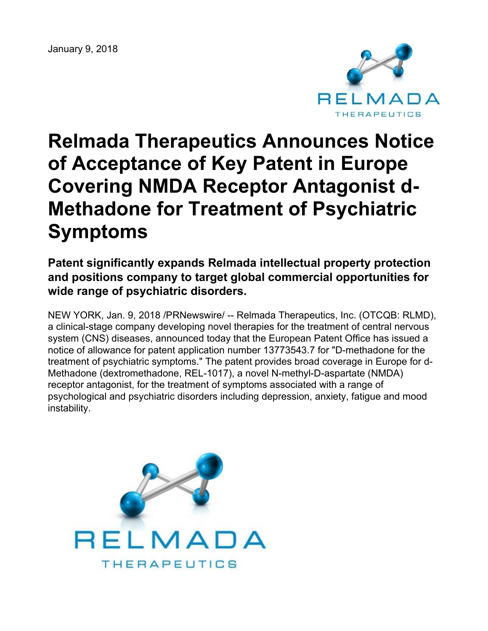January 9, 2018



# **Relmada Therapeutics Announces Notice of Acceptance of Key Patent in Europe Covering NMDA Receptor Antagonist d-Methadone for Treatment of Psychiatric Symptoms**

# **Patent significantly expands Relmada intellectual property protection and positions company to target global commercial opportunities for wide range of psychiatric disorders.**

NEW YORK, Jan. 9, 2018 /PRNewswire/ -- Relmada Therapeutics, Inc. (OTCQB: RLMD), a clinical-stage company developing novel therapies for the treatment of central nervous system (CNS) diseases, announced today that the European Patent Office has issued a notice of allowance for patent application number 13773543.7 for "D-methadone for the treatment of psychiatric symptoms." The patent provides broad coverage in Europe for d-Methadone (dextromethadone, REL-1017), a novel N-methyl-D-aspartate (NMDA) receptor antagonist, for the treatment of symptoms associated with a range of psychological and psychiatric disorders including depression, anxiety, fatigue and mood instability.

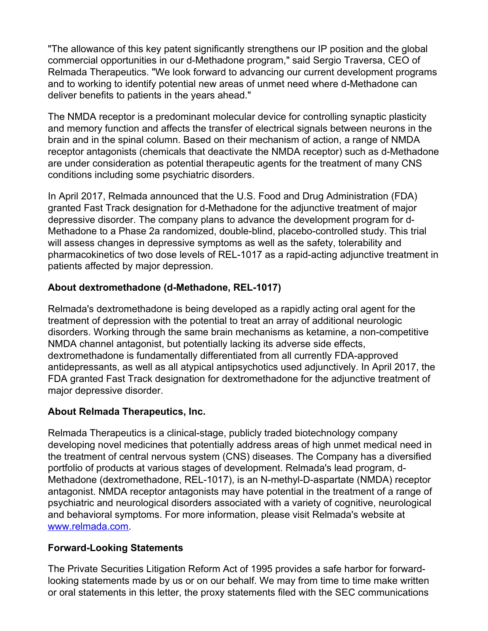"The allowance of this key patent significantly strengthens our IP position and the global commercial opportunities in our d-Methadone program," said Sergio Traversa, CEO of Relmada Therapeutics. "We look forward to advancing our current development programs and to working to identify potential new areas of unmet need where d-Methadone can deliver benefits to patients in the years ahead."

The NMDA receptor is a predominant molecular device for controlling synaptic plasticity and memory function and affects the transfer of electrical signals between neurons in the brain and in the spinal column. Based on their mechanism of action, a range of NMDA receptor antagonists (chemicals that deactivate the NMDA receptor) such as d-Methadone are under consideration as potential therapeutic agents for the treatment of many CNS conditions including some psychiatric disorders.

In April 2017, Relmada announced that the U.S. Food and Drug Administration (FDA) granted Fast Track designation for d-Methadone for the adjunctive treatment of major depressive disorder. The company plans to advance the development program for d-Methadone to a Phase 2a randomized, double-blind, placebo-controlled study. This trial will assess changes in depressive symptoms as well as the safety, tolerability and pharmacokinetics of two dose levels of REL-1017 as a rapid-acting adjunctive treatment in patients affected by major depression.

## **About dextromethadone (d-Methadone, REL-1017)**

Relmada's dextromethadone is being developed as a rapidly acting oral agent for the treatment of depression with the potential to treat an array of additional neurologic disorders. Working through the same brain mechanisms as ketamine, a non-competitive NMDA channel antagonist, but potentially lacking its adverse side effects, dextromethadone is fundamentally differentiated from all currently FDA-approved antidepressants, as well as all atypical antipsychotics used adjunctively. In April 2017, the FDA granted Fast Track designation for dextromethadone for the adjunctive treatment of major depressive disorder.

#### **About Relmada Therapeutics, Inc.**

Relmada Therapeutics is a clinical-stage, publicly traded biotechnology company developing novel medicines that potentially address areas of high unmet medical need in the treatment of central nervous system (CNS) diseases. The Company has a diversified portfolio of products at various stages of development. Relmada's lead program, d-Methadone (dextromethadone, REL-1017), is an N-methyl-D-aspartate (NMDA) receptor antagonist. NMDA receptor antagonists may have potential in the treatment of a range of psychiatric and neurological disorders associated with a variety of cognitive, neurological and behavioral symptoms. For more information, please visit Relmada's website at [www.relmada.com](http://www.relmada.com/).

#### **Forward-Looking Statements**

The Private Securities Litigation Reform Act of 1995 provides a safe harbor for forwardlooking statements made by us or on our behalf. We may from time to time make written or oral statements in this letter, the proxy statements filed with the SEC communications